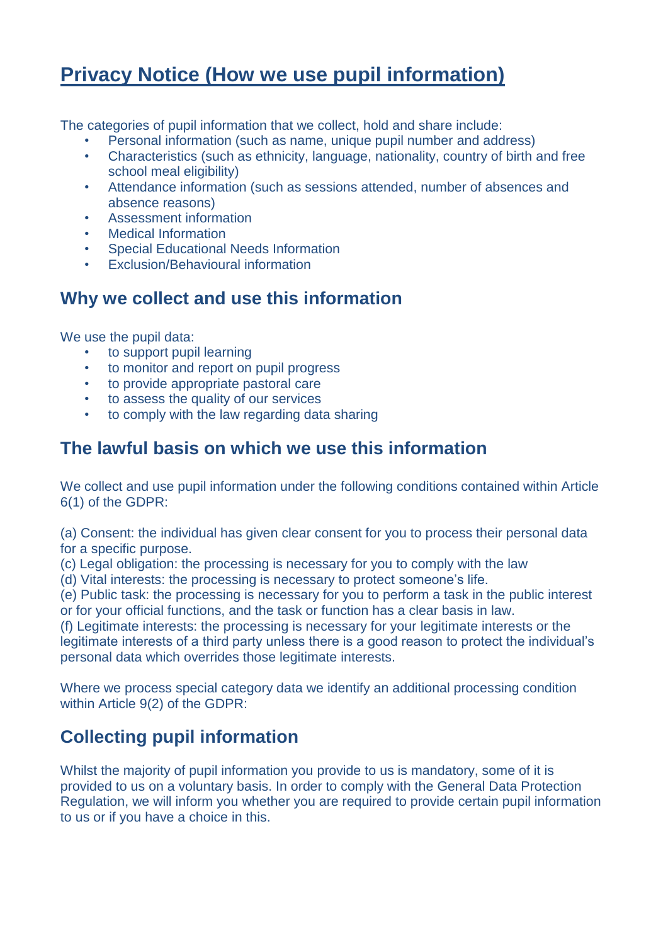# **Privacy Notice (How we use pupil information)**

The categories of pupil information that we collect, hold and share include:

- Personal information (such as name, unique pupil number and address)
- Characteristics (such as ethnicity, language, nationality, country of birth and free school meal eligibility)
- Attendance information (such as sessions attended, number of absences and absence reasons)
- Assessment information
- Medical Information
- Special Educational Needs Information
- Exclusion/Behavioural information

### **Why we collect and use this information**

We use the pupil data:

- to support pupil learning
- to monitor and report on pupil progress
- to provide appropriate pastoral care
- to assess the quality of our services
- to comply with the law regarding data sharing

### **The lawful basis on which we use this information**

We collect and use pupil information under the following conditions contained within Article 6(1) of the GDPR:

(a) Consent: the individual has given clear consent for you to process their personal data for a specific purpose.

(c) Legal obligation: the processing is necessary for you to comply with the law

(d) Vital interests: the processing is necessary to protect someone's life.

(e) Public task: the processing is necessary for you to perform a task in the public interest or for your official functions, and the task or function has a clear basis in law.

(f) Legitimate interests: the processing is necessary for your legitimate interests or the legitimate interests of a third party unless there is a good reason to protect the individual's personal data which overrides those legitimate interests.

Where we process special category data we identify an additional processing condition within Article 9(2) of the GDPR:

# **Collecting pupil information**

Whilst the majority of pupil information you provide to us is mandatory, some of it is provided to us on a voluntary basis. In order to comply with the General Data Protection Regulation, we will inform you whether you are required to provide certain pupil information to us or if you have a choice in this.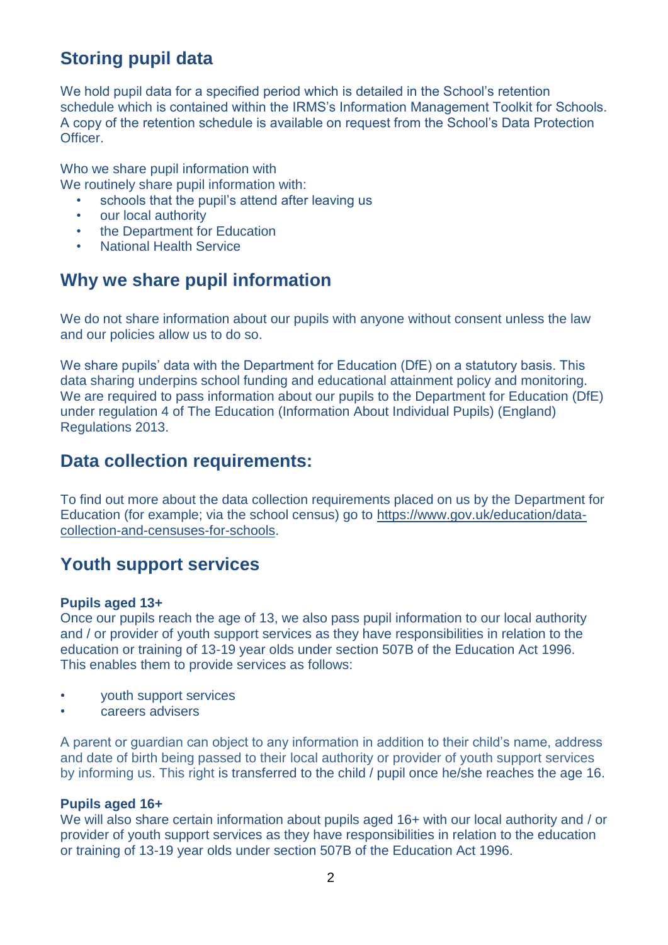# **Storing pupil data**

We hold pupil data for a specified period which is detailed in the School's retention schedule which is contained within the IRMS's Information Management Toolkit for Schools. A copy of the retention schedule is available on request from the School's Data Protection Officer.

Who we share pupil information with

We routinely share pupil information with:

- schools that the pupil's attend after leaving us
- our local authority
- the Department for Education
- National Health Service

### **Why we share pupil information**

We do not share information about our pupils with anyone without consent unless the law and our policies allow us to do so.

We share pupils' data with the Department for Education (DfE) on a statutory basis. This data sharing underpins school funding and educational attainment policy and monitoring. We are required to pass information about our pupils to the Department for Education (DfE) under regulation 4 of The Education (Information About Individual Pupils) (England) Regulations 2013.

### **Data collection requirements:**

To find out more about the data collection requirements placed on us by the Department for Education (for example; via the school census) go to [https://www.gov.uk/education/data](https://www.gov.uk/education/data-collection-and-censuses-for-schools)[collection-and-censuses-for-schools.](https://www.gov.uk/education/data-collection-and-censuses-for-schools)

### **Youth support services**

#### **Pupils aged 13+**

Once our pupils reach the age of 13, we also pass pupil information to our local authority and / or provider of youth support services as they have responsibilities in relation to the education or training of 13-19 year olds under section 507B of the Education Act 1996. This enables them to provide services as follows:

- youth support services
- careers advisers

A parent or guardian can object to any information in addition to their child's name, address and date of birth being passed to their local authority or provider of youth support services by informing us. This right is transferred to the child / pupil once he/she reaches the age 16.

#### **Pupils aged 16+**

We will also share certain information about pupils aged 16+ with our local authority and / or provider of youth support services as they have responsibilities in relation to the education or training of 13-19 year olds under section 507B of the Education Act 1996.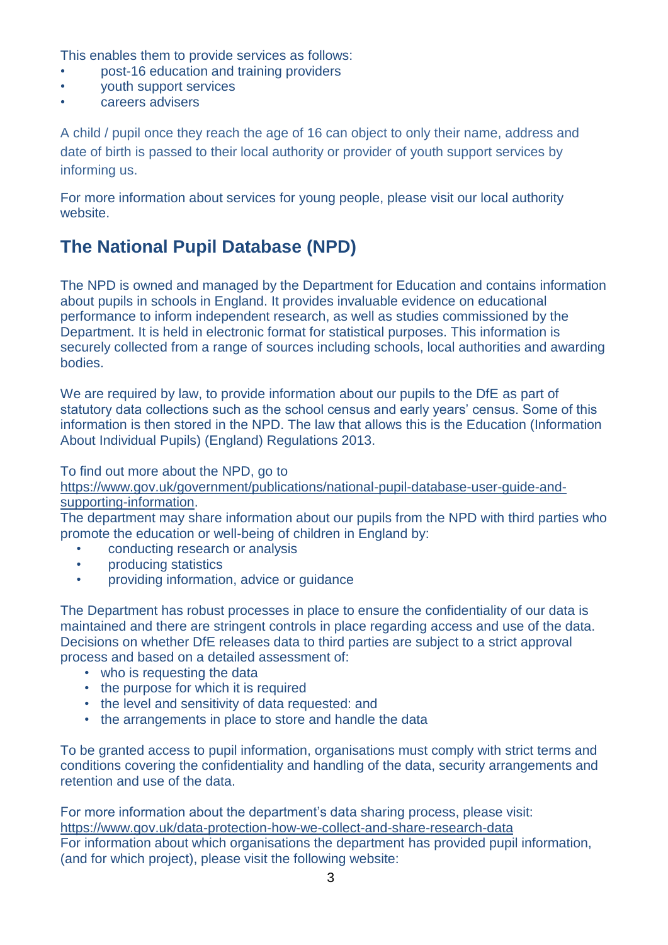This enables them to provide services as follows:

- post-16 education and training providers
- youth support services
- careers advisers

A child / pupil once they reach the age of 16 can object to only their name, address and date of birth is passed to their local authority or provider of youth support services by informing us.

For more information about services for young people, please visit our local authority website.

# **The National Pupil Database (NPD)**

The NPD is owned and managed by the Department for Education and contains information about pupils in schools in England. It provides invaluable evidence on educational performance to inform independent research, as well as studies commissioned by the Department. It is held in electronic format for statistical purposes. This information is securely collected from a range of sources including schools, local authorities and awarding bodies.

We are required by law, to provide information about our pupils to the DfE as part of statutory data collections such as the school census and early years' census. Some of this information is then stored in the NPD. The law that allows this is the Education (Information About Individual Pupils) (England) Regulations 2013.

To find out more about the NPD, go to

[https://www.gov.uk/government/publications/national-pupil-database-user-guide-and](https://www.gov.uk/government/publications/national-pupil-database-user-guide-and-supporting-information)[supporting-information.](https://www.gov.uk/government/publications/national-pupil-database-user-guide-and-supporting-information)

The department may share information about our pupils from the NPD with third parties who promote the education or well-being of children in England by:

- conducting research or analysis
- producing statistics
- providing information, advice or guidance

The Department has robust processes in place to ensure the confidentiality of our data is maintained and there are stringent controls in place regarding access and use of the data. Decisions on whether DfE releases data to third parties are subject to a strict approval process and based on a detailed assessment of:

- who is requesting the data
- the purpose for which it is required
- the level and sensitivity of data requested: and
- the arrangements in place to store and handle the data

To be granted access to pupil information, organisations must comply with strict terms and conditions covering the confidentiality and handling of the data, security arrangements and retention and use of the data.

For more information about the department's data sharing process, please visit: <https://www.gov.uk/data-protection-how-we-collect-and-share-research-data> For information about which organisations the department has provided pupil information, (and for which project), please visit the following website: